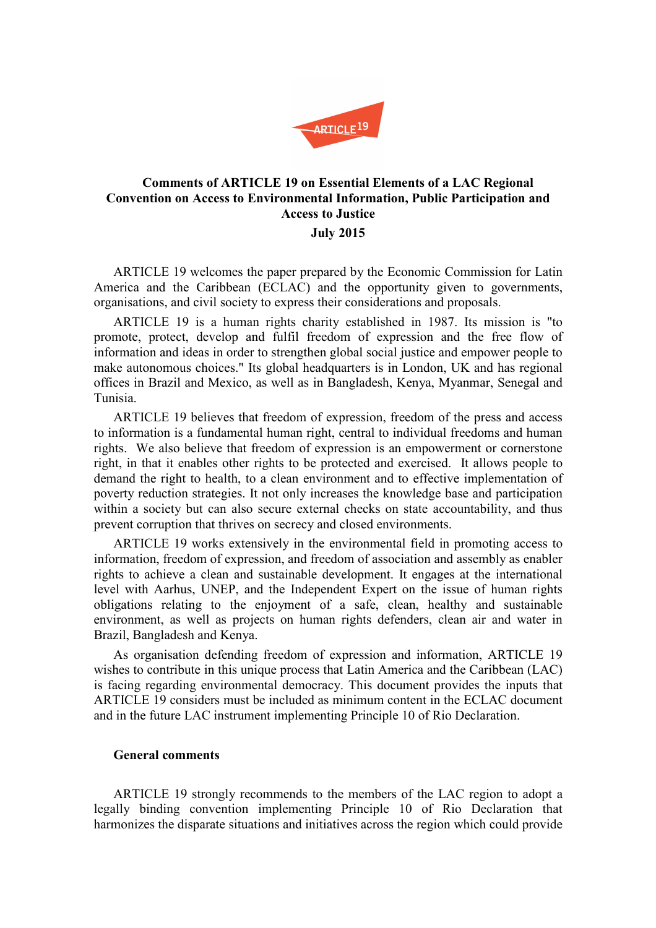

# **Comments of ARTICLE 19 on Essential Elements of a LAC Regional Convention on Access to Environmental Information, Public Participation and Access to Justice July 2015**

ARTICLE 19 welcomes the paper prepared by the Economic Commission for Latin America and the Caribbean (ECLAC) and the opportunity given to governments, organisations, and civil society to express their considerations and proposals.

ARTICLE 19 is a human rights charity established in 1987. Its mission is "to promote, protect, develop and fulfil freedom of expression and the free flow of information and ideas in order to strengthen global social justice and empower people to make autonomous choices." Its global headquarters is in London, UK and has regional offices in Brazil and Mexico, as well as in Bangladesh, Kenya, Myanmar, Senegal and Tunisia.

ARTICLE 19 believes that freedom of expression, freedom of the press and access to information is a fundamental human right, central to individual freedoms and human rights. We also believe that freedom of expression is an empowerment or cornerstone right, in that it enables other rights to be protected and exercised. It allows people to demand the right to health, to a clean environment and to effective implementation of poverty reduction strategies. It not only increases the knowledge base and participation within a society but can also secure external checks on state accountability, and thus prevent corruption that thrives on secrecy and closed environments.

ARTICLE 19 works extensively in the environmental field in promoting access to information, freedom of expression, and freedom of association and assembly as enabler rights to achieve a clean and sustainable development. It engages at the international level with Aarhus, UNEP, and the Independent Expert on the issue of human rights obligations relating to the enjoyment of a safe, clean, healthy and sustainable environment, as well as projects on human rights defenders, clean air and water in Brazil, Bangladesh and Kenya.

As organisation defending freedom of expression and information, ARTICLE 19 wishes to contribute in this unique process that Latin America and the Caribbean (LAC) is facing regarding environmental democracy. This document provides the inputs that ARTICLE 19 considers must be included as minimum content in the ECLAC document and in the future LAC instrument implementing Principle 10 of Rio Declaration.

## **General comments**

ARTICLE 19 strongly recommends to the members of the LAC region to adopt a legally binding convention implementing Principle 10 of Rio Declaration that harmonizes the disparate situations and initiatives across the region which could provide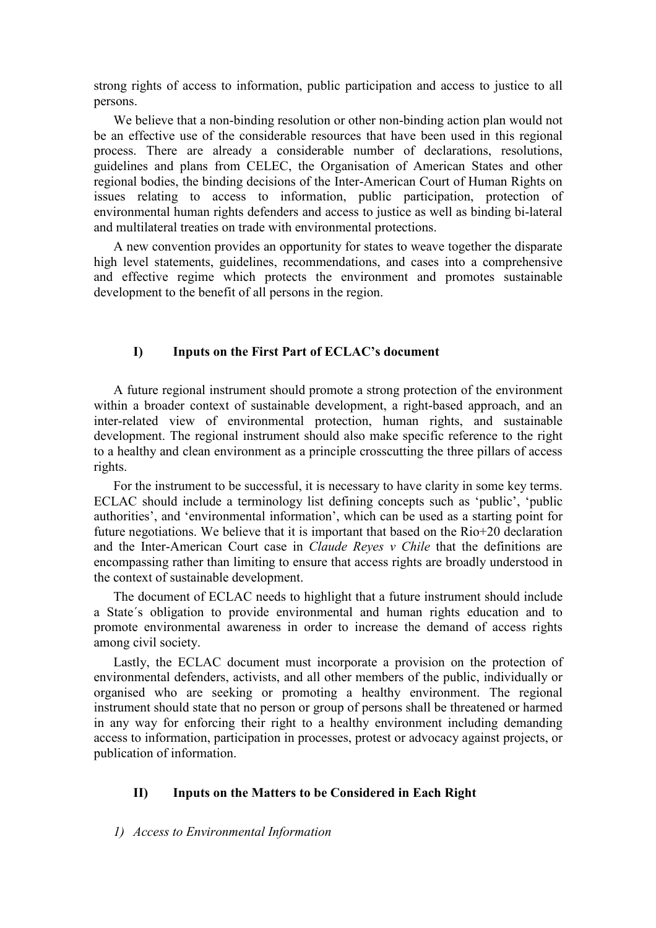strong rights of access to information, public participation and access to justice to all persons.

We believe that a non-binding resolution or other non-binding action plan would not be an effective use of the considerable resources that have been used in this regional process. There are already a considerable number of declarations, resolutions, guidelines and plans from CELEC, the Organisation of American States and other regional bodies, the binding decisions of the Inter-American Court of Human Rights on issues relating to access to information, public participation, protection of environmental human rights defenders and access to justice as well as binding bi-lateral and multilateral treaties on trade with environmental protections.

A new convention provides an opportunity for states to weave together the disparate high level statements, guidelines, recommendations, and cases into a comprehensive and effective regime which protects the environment and promotes sustainable development to the benefit of all persons in the region.

## **I) Inputs on the First Part of ECLAC's document**

A future regional instrument should promote a strong protection of the environment within a broader context of sustainable development, a right-based approach, and an inter-related view of environmental protection, human rights, and sustainable development. The regional instrument should also make specific reference to the right to a healthy and clean environment as a principle crosscutting the three pillars of access rights.

For the instrument to be successful, it is necessary to have clarity in some key terms. ECLAC should include a terminology list defining concepts such as 'public', 'public authorities', and 'environmental information', which can be used as a starting point for future negotiations. We believe that it is important that based on the Rio+20 declaration and the Inter-American Court case in *Claude Reyes v Chile* that the definitions are encompassing rather than limiting to ensure that access rights are broadly understood in the context of sustainable development.

The document of ECLAC needs to highlight that a future instrument should include a State´s obligation to provide environmental and human rights education and to promote environmental awareness in order to increase the demand of access rights among civil society.

Lastly, the ECLAC document must incorporate a provision on the protection of environmental defenders, activists, and all other members of the public, individually or organised who are seeking or promoting a healthy environment. The regional instrument should state that no person or group of persons shall be threatened or harmed in any way for enforcing their right to a healthy environment including demanding access to information, participation in processes, protest or advocacy against projects, or publication of information.

### **II) Inputs on the Matters to be Considered in Each Right**

### *1) Access to Environmental Information*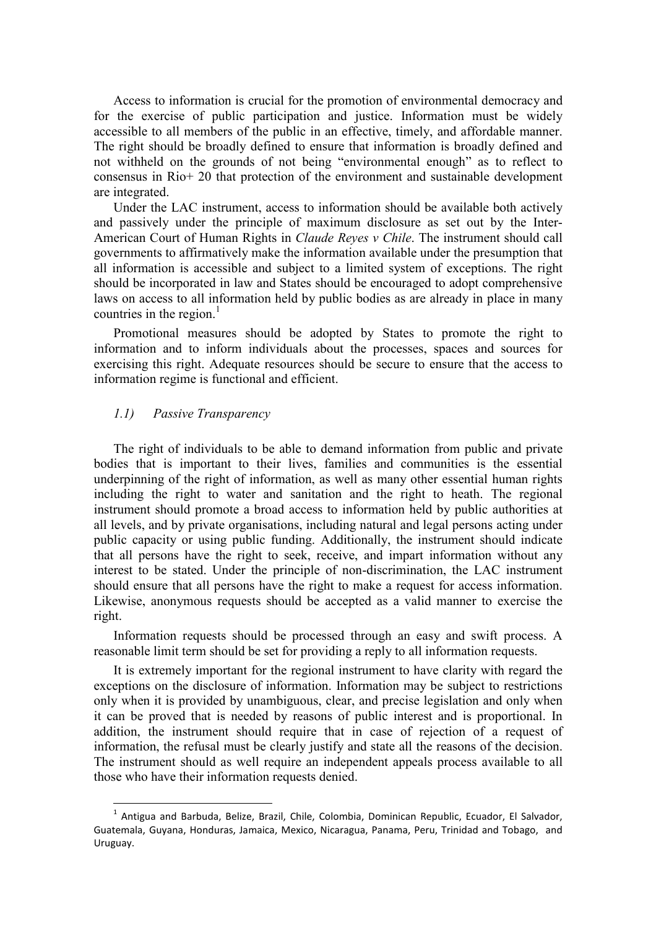Access to information is crucial for the promotion of environmental democracy and for the exercise of public participation and justice. Information must be widely accessible to all members of the public in an effective, timely, and affordable manner. The right should be broadly defined to ensure that information is broadly defined and not withheld on the grounds of not being "environmental enough" as to reflect to consensus in Rio+ 20 that protection of the environment and sustainable development are integrated.

Under the LAC instrument, access to information should be available both actively and passively under the principle of maximum disclosure as set out by the Inter-American Court of Human Rights in *Claude Reyes v Chile*. The instrument should call governments to affirmatively make the information available under the presumption that all information is accessible and subject to a limited system of exceptions. The right should be incorporated in law and States should be encouraged to adopt comprehensive laws on access to all information held by public bodies as are already in place in many countries in the region. $<sup>1</sup>$ </sup>

Promotional measures should be adopted by States to promote the right to information and to inform individuals about the processes, spaces and sources for exercising this right. Adequate resources should be secure to ensure that the access to information regime is functional and efficient.

#### *1.1) Passive Transparency*

l

The right of individuals to be able to demand information from public and private bodies that is important to their lives, families and communities is the essential underpinning of the right of information, as well as many other essential human rights including the right to water and sanitation and the right to heath. The regional instrument should promote a broad access to information held by public authorities at all levels, and by private organisations, including natural and legal persons acting under public capacity or using public funding. Additionally, the instrument should indicate that all persons have the right to seek, receive, and impart information without any interest to be stated. Under the principle of non-discrimination, the LAC instrument should ensure that all persons have the right to make a request for access information. Likewise, anonymous requests should be accepted as a valid manner to exercise the right.

Information requests should be processed through an easy and swift process. A reasonable limit term should be set for providing a reply to all information requests.

It is extremely important for the regional instrument to have clarity with regard the exceptions on the disclosure of information. Information may be subject to restrictions only when it is provided by unambiguous, clear, and precise legislation and only when it can be proved that is needed by reasons of public interest and is proportional. In addition, the instrument should require that in case of rejection of a request of information, the refusal must be clearly justify and state all the reasons of the decision. The instrument should as well require an independent appeals process available to all those who have their information requests denied.

<sup>&</sup>lt;sup>1</sup> Antigua and Barbuda, Belize, Brazil, Chile, Colombia, Dominican Republic, Ecuador, El Salvador, Guatemala, Guyana, Honduras, Jamaica, Mexico, Nicaragua, Panama, Peru, Trinidad and Tobago, and Uruguay.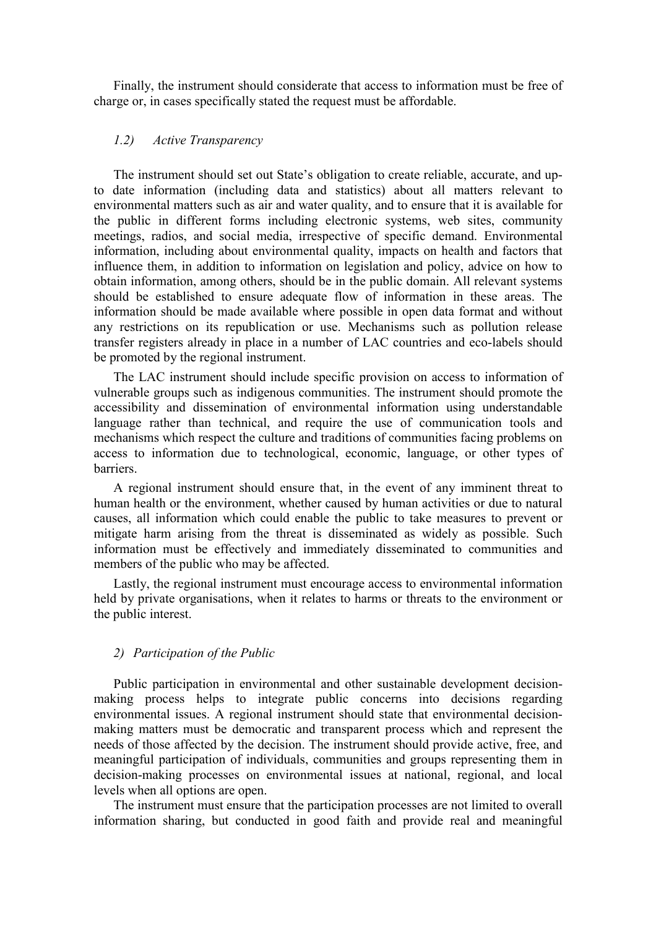Finally, the instrument should considerate that access to information must be free of charge or, in cases specifically stated the request must be affordable.

## *1.2) Active Transparency*

The instrument should set out State's obligation to create reliable, accurate, and upto date information (including data and statistics) about all matters relevant to environmental matters such as air and water quality, and to ensure that it is available for the public in different forms including electronic systems, web sites, community meetings, radios, and social media, irrespective of specific demand. Environmental information, including about environmental quality, impacts on health and factors that influence them, in addition to information on legislation and policy, advice on how to obtain information, among others, should be in the public domain. All relevant systems should be established to ensure adequate flow of information in these areas. The information should be made available where possible in open data format and without any restrictions on its republication or use. Mechanisms such as pollution release transfer registers already in place in a number of LAC countries and eco-labels should be promoted by the regional instrument.

The LAC instrument should include specific provision on access to information of vulnerable groups such as indigenous communities. The instrument should promote the accessibility and dissemination of environmental information using understandable language rather than technical, and require the use of communication tools and mechanisms which respect the culture and traditions of communities facing problems on access to information due to technological, economic, language, or other types of barriers.

A regional instrument should ensure that, in the event of any imminent threat to human health or the environment, whether caused by human activities or due to natural causes, all information which could enable the public to take measures to prevent or mitigate harm arising from the threat is disseminated as widely as possible. Such information must be effectively and immediately disseminated to communities and members of the public who may be affected.

Lastly, the regional instrument must encourage access to environmental information held by private organisations, when it relates to harms or threats to the environment or the public interest.

#### *2) Participation of the Public*

Public participation in environmental and other sustainable development decisionmaking process helps to integrate public concerns into decisions regarding environmental issues. A regional instrument should state that environmental decisionmaking matters must be democratic and transparent process which and represent the needs of those affected by the decision. The instrument should provide active, free, and meaningful participation of individuals, communities and groups representing them in decision-making processes on environmental issues at national, regional, and local levels when all options are open.

The instrument must ensure that the participation processes are not limited to overall information sharing, but conducted in good faith and provide real and meaningful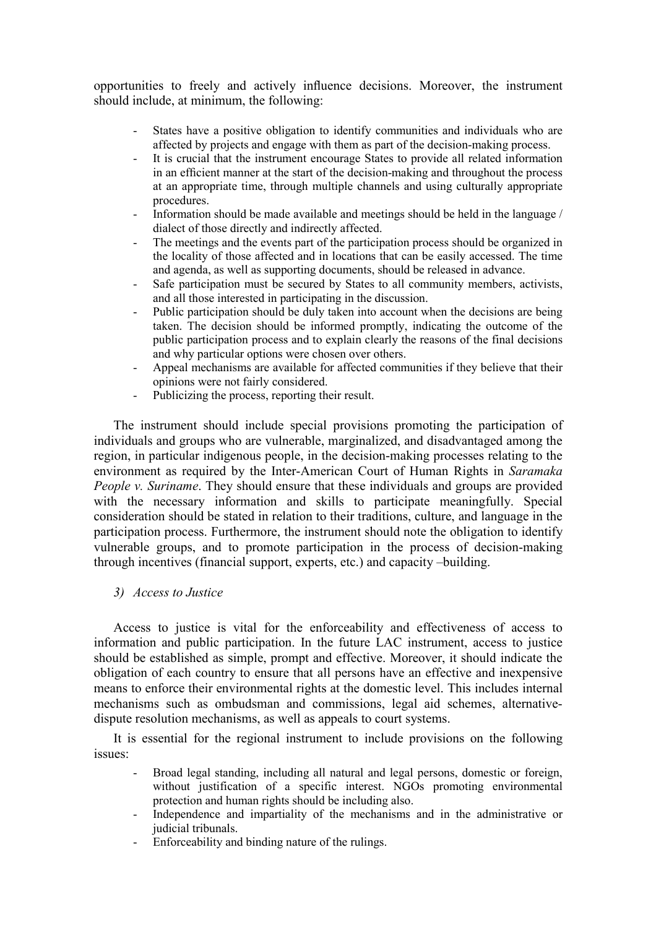opportunities to freely and actively influence decisions. Moreover, the instrument should include, at minimum, the following:

- States have a positive obligation to identify communities and individuals who are affected by projects and engage with them as part of the decision-making process.
- It is crucial that the instrument encourage States to provide all related information in an efficient manner at the start of the decision-making and throughout the process at an appropriate time, through multiple channels and using culturally appropriate procedures.
- Information should be made available and meetings should be held in the language / dialect of those directly and indirectly affected.
- The meetings and the events part of the participation process should be organized in the locality of those affected and in locations that can be easily accessed. The time and agenda, as well as supporting documents, should be released in advance.
- Safe participation must be secured by States to all community members, activists, and all those interested in participating in the discussion.
- Public participation should be duly taken into account when the decisions are being taken. The decision should be informed promptly, indicating the outcome of the public participation process and to explain clearly the reasons of the final decisions and why particular options were chosen over others.
- Appeal mechanisms are available for affected communities if they believe that their opinions were not fairly considered.
- Publicizing the process, reporting their result.

The instrument should include special provisions promoting the participation of individuals and groups who are vulnerable, marginalized, and disadvantaged among the region, in particular indigenous people, in the decision-making processes relating to the environment as required by the Inter-American Court of Human Rights in *Saramaka People v. Suriname.* They should ensure that these individuals and groups are provided with the necessary information and skills to participate meaningfully. Special consideration should be stated in relation to their traditions, culture, and language in the participation process. Furthermore, the instrument should note the obligation to identify vulnerable groups, and to promote participation in the process of decision-making through incentives (financial support, experts, etc.) and capacity –building.

## *3) Access to Justice*

Access to justice is vital for the enforceability and effectiveness of access to information and public participation. In the future LAC instrument, access to justice should be established as simple, prompt and effective. Moreover, it should indicate the obligation of each country to ensure that all persons have an effective and inexpensive means to enforce their environmental rights at the domestic level. This includes internal mechanisms such as ombudsman and commissions, legal aid schemes, alternativedispute resolution mechanisms, as well as appeals to court systems.

It is essential for the regional instrument to include provisions on the following issues:

- Broad legal standing, including all natural and legal persons, domestic or foreign, without justification of a specific interest. NGOs promoting environmental protection and human rights should be including also.
- Independence and impartiality of the mechanisms and in the administrative or judicial tribunals.
- Enforceability and binding nature of the rulings.